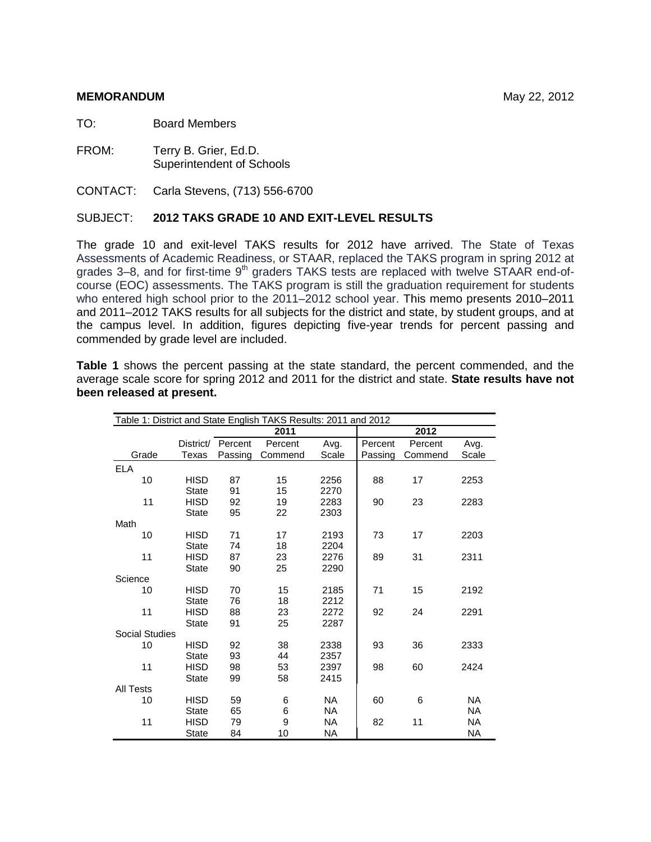#### **MEMORANDUM** May 22, 2012

TO: Board Members

FROM: Terry B. Grier, Ed.D. Superintendent of Schools

CONTACT: Carla Stevens, (713) 556-6700

#### SUBJECT: **2012 TAKS GRADE 10 AND EXIT-LEVEL RESULTS**

The grade 10 and exit-level TAKS results for 2012 have arrived. The State of Texas Assessments of Academic Readiness, or STAAR, replaced the TAKS program in spring 2012 at grades 3–8, and for first-time 9<sup>th</sup> graders TAKS tests are replaced with twelve STAAR end-ofcourse (EOC) assessments. The TAKS program is still the graduation requirement for students who entered high school prior to the 2011–2012 school year. This memo presents 2010–2011 and 2011–2012 TAKS results for all subjects for the district and state, by student groups, and at the campus level. In addition, figures depicting five-year trends for percent passing and commended by grade level are included.

**Table 1** shows the percent passing at the state standard, the percent commended, and the average scale score for spring 2012 and 2011 for the district and state. **State results have not been released at present.** 

| Table 1: District and State English TAKS Results: 2011 and 2012 |                             |          |          |              |         |         |           |
|-----------------------------------------------------------------|-----------------------------|----------|----------|--------------|---------|---------|-----------|
|                                                                 |                             |          | 2011     |              |         | 2012    |           |
|                                                                 | District/                   | Percent  | Percent  | Avg.         | Percent | Percent | Avg.      |
| Grade                                                           | Texas                       | Passing  | Commend  | Scale        | Passing | Commend | Scale     |
| <b>ELA</b>                                                      |                             |          |          |              |         |         |           |
| 10                                                              | <b>HISD</b>                 | 87       | 15       | 2256         | 88      | 17      | 2253      |
|                                                                 | <b>State</b>                | 91       | 15       | 2270         |         |         |           |
| 11                                                              | <b>HISD</b>                 | 92       | 19       | 2283         | 90      | 23      | 2283      |
|                                                                 | <b>State</b>                | 95       | 22       | 2303         |         |         |           |
| Math                                                            |                             |          |          |              |         |         |           |
| 10                                                              | <b>HISD</b>                 | 71       | 17       | 2193         | 73      | 17      | 2203      |
|                                                                 | <b>State</b>                | 74       | 18       | 2204         |         |         |           |
| 11                                                              | <b>HISD</b>                 | 87       | 23       | 2276         | 89      | 31      | 2311      |
|                                                                 | <b>State</b>                | 90       | 25       | 2290         |         |         |           |
| Science                                                         |                             |          |          |              |         |         |           |
| 10                                                              | <b>HISD</b>                 | 70       | 15       | 2185         | 71      | 15      | 2192      |
|                                                                 | <b>State</b>                | 76       | 18       | 2212         |         |         |           |
| 11                                                              | <b>HISD</b>                 | 88       | 23       | 2272         | 92      | 24      | 2291      |
|                                                                 | <b>State</b>                | 91       | 25       | 2287         |         |         |           |
| Social Studies                                                  |                             |          |          |              |         |         |           |
| 10                                                              | <b>HISD</b>                 | 92       | 38       | 2338         | 93      | 36      | 2333      |
|                                                                 | <b>State</b>                | 93       | 44       | 2357         |         |         |           |
| 11                                                              | <b>HISD</b><br><b>State</b> | 98<br>99 | 53<br>58 | 2397<br>2415 | 98      | 60      | 2424      |
| <b>All Tests</b>                                                |                             |          |          |              |         |         |           |
| 10                                                              | <b>HISD</b>                 | 59       | 6        | <b>NA</b>    | 60      | 6       | <b>NA</b> |
|                                                                 | <b>State</b>                | 65       | 6        | <b>NA</b>    |         |         | <b>NA</b> |
| 11                                                              | <b>HISD</b>                 | 79       | 9        | <b>NA</b>    | 82      | 11      | <b>NA</b> |
|                                                                 | <b>State</b>                | 84       | 10       | <b>NA</b>    |         |         | <b>NA</b> |
|                                                                 |                             |          |          |              |         |         |           |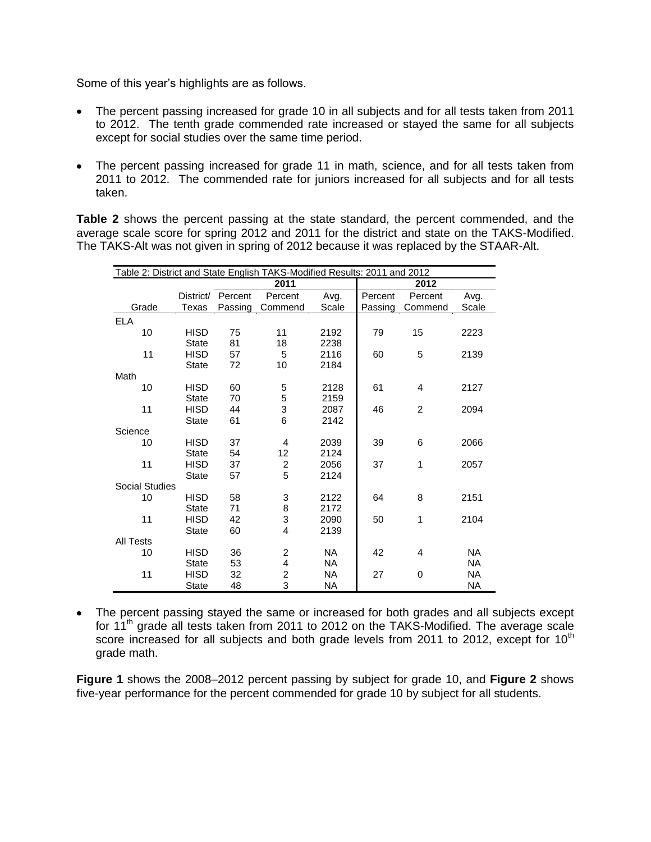Some of this year's highlights are as follows.

- The percent passing increased for grade 10 in all subjects and for all tests taken from 2011 to 2012. The tenth grade commended rate increased or stayed the same for all subjects except for social studies over the same time period.
- The percent passing increased for grade 11 in math, science, and for all tests taken from 2011 to 2012. The commended rate for juniors increased for all subjects and for all tests taken.

**Table 2** shows the percent passing at the state standard, the percent commended, and the average scale score for spring 2012 and 2011 for the district and state on the TAKS-Modified. The TAKS-Alt was not given in spring of 2012 because it was replaced by the STAAR-Alt.

| Table 2: District and State English TAKS-Modified Results: 2011 and 2012 |              |         |                         |           |         |                |           |
|--------------------------------------------------------------------------|--------------|---------|-------------------------|-----------|---------|----------------|-----------|
|                                                                          |              |         | 2011                    |           |         | 2012           |           |
|                                                                          | District/    | Percent | Percent                 | Avg.      | Percent | Percent        | Avg.      |
| Grade                                                                    | Texas        | Passing | Commend                 | Scale     | Passing | Commend        | Scale     |
| <b>ELA</b>                                                               |              |         |                         |           |         |                |           |
| 10                                                                       | <b>HISD</b>  | 75      | 11                      | 2192      | 79      | 15             | 2223      |
|                                                                          | <b>State</b> | 81      | 18                      | 2238      |         |                |           |
| 11                                                                       | <b>HISD</b>  | 57      | 5                       | 2116      | 60      | 5              | 2139      |
|                                                                          | <b>State</b> | 72      | 10                      | 2184      |         |                |           |
| Math                                                                     |              |         |                         |           |         |                |           |
| 10                                                                       | <b>HISD</b>  | 60      | 5                       | 2128      | 61      | 4              | 2127      |
|                                                                          | <b>State</b> | 70      | 5                       | 2159      |         |                |           |
| 11                                                                       | <b>HISD</b>  | 44      | 3                       | 2087      | 46      | $\overline{2}$ | 2094      |
|                                                                          | <b>State</b> | 61      | 6                       | 2142      |         |                |           |
| Science                                                                  |              |         |                         |           |         |                |           |
| 10                                                                       | <b>HISD</b>  | 37      | 4                       | 2039      | 39      | 6              | 2066      |
|                                                                          | <b>State</b> | 54      | 12                      | 2124      |         |                |           |
| 11                                                                       | <b>HISD</b>  | 37      | 2                       | 2056      | 37      | 1              | 2057      |
|                                                                          | <b>State</b> | 57      | 5                       | 2124      |         |                |           |
| <b>Social Studies</b>                                                    |              |         |                         |           |         |                |           |
| 10                                                                       | <b>HISD</b>  | 58      | 3                       | 2122      | 64      | 8              | 2151      |
|                                                                          | <b>State</b> | 71      | 8                       | 2172      |         |                |           |
| 11                                                                       | <b>HISD</b>  | 42      | 3                       | 2090      | 50      | 1              | 2104      |
|                                                                          | <b>State</b> | 60      | $\overline{4}$          | 2139      |         |                |           |
| <b>All Tests</b>                                                         |              |         |                         |           |         |                |           |
| 10                                                                       | <b>HISD</b>  | 36      | 2                       | <b>NA</b> | 42      | 4              | <b>NA</b> |
|                                                                          | <b>State</b> | 53      | 4                       | <b>NA</b> |         |                | <b>NA</b> |
| 11                                                                       | <b>HISD</b>  | 32      | $\overline{\mathbf{c}}$ | <b>NA</b> | 27      | 0              | <b>NA</b> |
|                                                                          | <b>State</b> | 48      | 3                       | ΝA        |         |                | ΝA        |

The percent passing stayed the same or increased for both grades and all subjects except for 11<sup>th</sup> grade all tests taken from 2011 to 2012 on the TAKS-Modified. The average scale score increased for all subjects and both grade levels from 2011 to 2012, except for  $10<sup>th</sup>$ grade math.

**Figure 1** shows the 2008–2012 percent passing by subject for grade 10, and **Figure 2** shows five-year performance for the percent commended for grade 10 by subject for all students.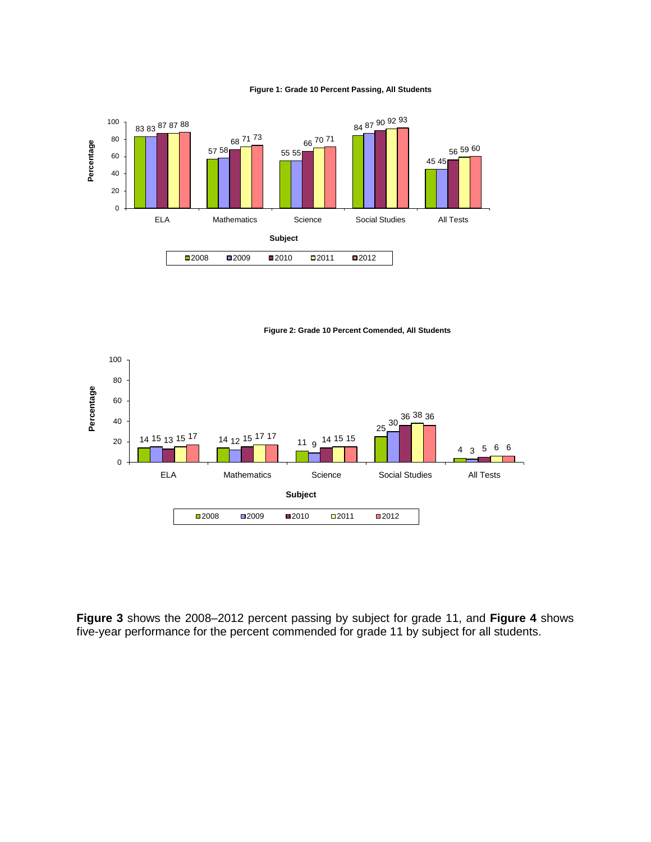#### **Figure 1: Grade 10 Percent Passing, All Students**



**Figure 2: Grade 10 Percent Comended, All Students**



**Figure 3** shows the 2008–2012 percent passing by subject for grade 11, and **Figure 4** shows five-year performance for the percent commended for grade 11 by subject for all students.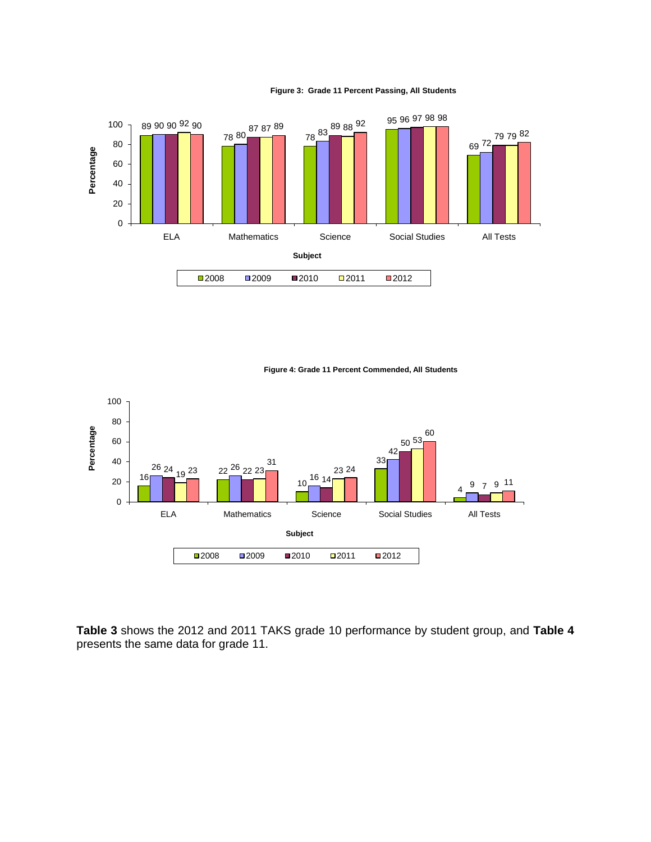

#### **Figure 3: Grade 11 Percent Passing, All Students**

**Figure 4: Grade 11 Percent Commended, All Students**



**Table 3** shows the 2012 and 2011 TAKS grade 10 performance by student group, and **Table 4**  presents the same data for grade 11.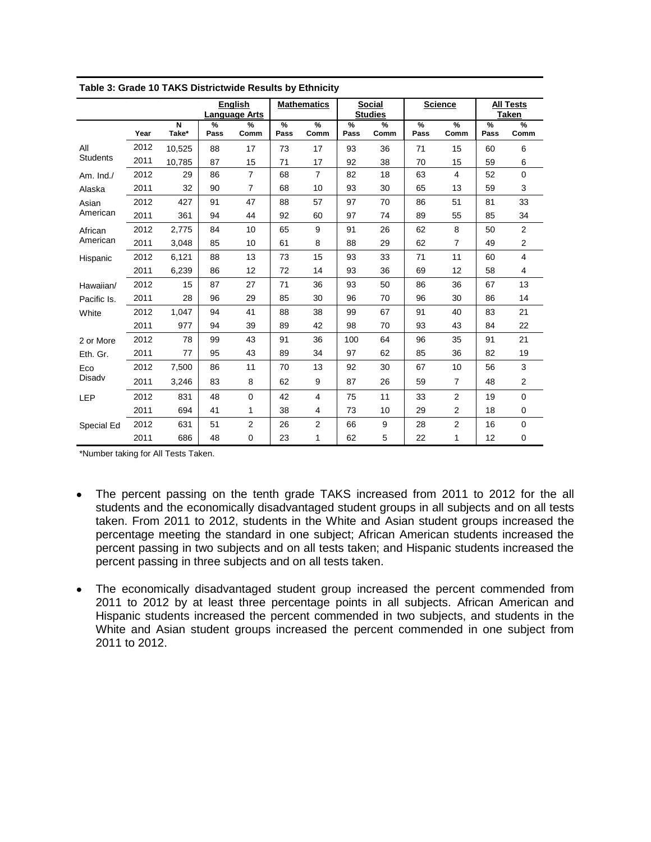|                 |      |                                  |              | <b>English</b>       |           | <b>Mathematics</b> |           | <b>Social</b>  |              | <b>Science</b>        |           | All Tests               |
|-----------------|------|----------------------------------|--------------|----------------------|-----------|--------------------|-----------|----------------|--------------|-----------------------|-----------|-------------------------|
|                 |      |                                  |              | <b>Language Arts</b> |           |                    |           | <b>Studies</b> |              |                       |           | <b>Taken</b>            |
|                 | Year | $\overline{\mathsf{N}}$<br>Take* | $\%$<br>Pass | $\%$<br>Comm         | %<br>Pass | %<br>Comm          | %<br>Pass | $\%$<br>Comm   | $\%$<br>Pass | $\frac{9}{6}$<br>Comm | %<br>Pass | %<br>Comm               |
| All             | 2012 | 10,525                           | 88           | 17                   | 73        | 17                 | 93        | 36             | 71           | 15                    | 60        | 6                       |
| <b>Students</b> | 2011 | 10,785                           | 87           | 15                   | 71        | 17                 | 92        | 38             | 70           | 15                    | 59        | 6                       |
| Am. $Ind.$      | 2012 | 29                               | 86           | $\overline{7}$       | 68        | $\overline{7}$     | 82        | 18             | 63           | 4                     | 52        | $\mathbf 0$             |
| Alaska          | 2011 | 32                               | 90           | 7                    | 68        | 10                 | 93        | 30             | 65           | 13                    | 59        | 3                       |
| Asian           | 2012 | 427                              | 91           | 47                   | 88        | 57                 | 97        | 70             | 86           | 51                    | 81        | 33                      |
| American        | 2011 | 361                              | 94           | 44                   | 92        | 60                 | 97        | 74             | 89           | 55                    | 85        | 34                      |
| African         | 2012 | 2,775                            | 84           | 10                   | 65        | 9                  | 91        | 26             | 62           | 8                     | 50        | $\overline{2}$          |
| American        | 2011 | 3,048                            | 85           | 10                   | 61        | 8                  | 88        | 29             | 62           | $\overline{7}$        | 49        | $\overline{\mathbf{c}}$ |
| Hispanic        | 2012 | 6,121                            | 88           | 13                   | 73        | 15                 | 93        | 33             | 71           | 11                    | 60        | 4                       |
|                 | 2011 | 6,239                            | 86           | 12                   | 72        | 14                 | 93        | 36             | 69           | 12                    | 58        | 4                       |
| Hawaiian/       | 2012 | 15                               | 87           | 27                   | 71        | 36                 | 93        | 50             | 86           | 36                    | 67        | 13                      |
| Pacific Is.     | 2011 | 28                               | 96           | 29                   | 85        | 30                 | 96        | 70             | 96           | 30                    | 86        | 14                      |
| White           | 2012 | 1,047                            | 94           | 41                   | 88        | 38                 | 99        | 67             | 91           | 40                    | 83        | 21                      |
|                 | 2011 | 977                              | 94           | 39                   | 89        | 42                 | 98        | 70             | 93           | 43                    | 84        | 22                      |
| 2 or More       | 2012 | 78                               | 99           | 43                   | 91        | 36                 | 100       | 64             | 96           | 35                    | 91        | 21                      |
| Eth. Gr.        | 2011 | 77                               | 95           | 43                   | 89        | 34                 | 97        | 62             | 85           | 36                    | 82        | 19                      |
| Eco             | 2012 | 7,500                            | 86           | 11                   | 70        | 13                 | 92        | 30             | 67           | 10                    | 56        | 3                       |
| Disadv          | 2011 | 3,246                            | 83           | 8                    | 62        | 9                  | 87        | 26             | 59           | $\overline{7}$        | 48        | $\overline{2}$          |
| <b>LEP</b>      | 2012 | 831                              | 48           | $\mathbf 0$          | 42        | 4                  | 75        | 11             | 33           | $\overline{2}$        | 19        | $\mathbf 0$             |
|                 | 2011 | 694                              | 41           | 1                    | 38        | 4                  | 73        | 10             | 29           | $\overline{2}$        | 18        | 0                       |
| Special Ed      | 2012 | 631                              | 51           | 2                    | 26        | 2                  | 66        | 9              | 28           | $\overline{2}$        | 16        | 0                       |
|                 | 2011 | 686                              | 48           | 0                    | 23        | 1                  | 62        | 5              | 22           | 1                     | 12        | $\mathbf 0$             |

| Table 3: Grade 10 TAKS Districtwide Results by Ethnicity |  |
|----------------------------------------------------------|--|
|                                                          |  |

\*Number taking for All Tests Taken.

- The percent passing on the tenth grade TAKS increased from 2011 to 2012 for the all students and the economically disadvantaged student groups in all subjects and on all tests taken. From 2011 to 2012, students in the White and Asian student groups increased the percentage meeting the standard in one subject; African American students increased the percent passing in two subjects and on all tests taken; and Hispanic students increased the percent passing in three subjects and on all tests taken.
- The economically disadvantaged student group increased the percent commended from 2011 to 2012 by at least three percentage points in all subjects. African American and Hispanic students increased the percent commended in two subjects, and students in the White and Asian student groups increased the percent commended in one subject from 2011 to 2012.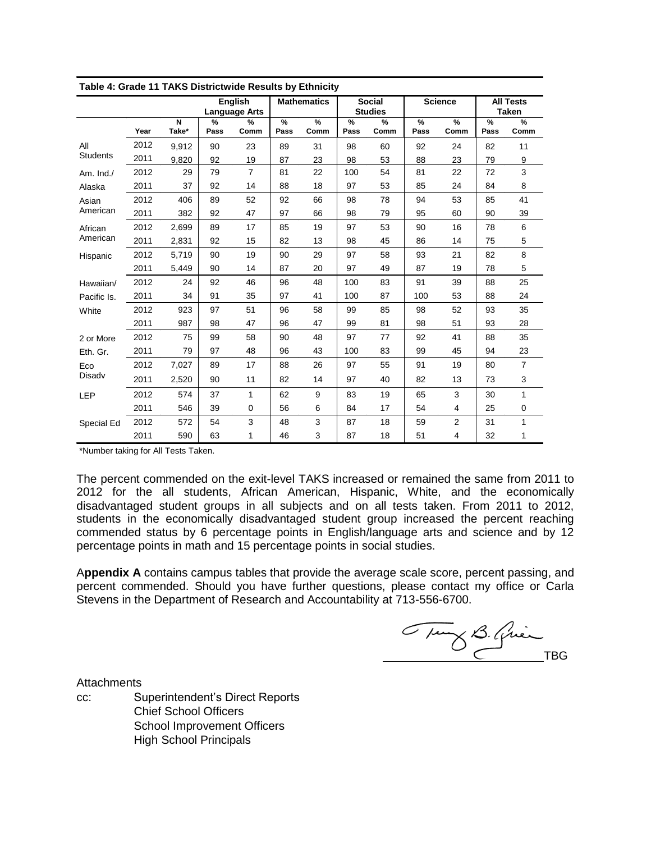| Table 4: Grade 11 TAKS Districtwide Results by Ethnicity |      |            |              |                                        |           |                    |           |                                 |           |                       |           |                                  |
|----------------------------------------------------------|------|------------|--------------|----------------------------------------|-----------|--------------------|-----------|---------------------------------|-----------|-----------------------|-----------|----------------------------------|
|                                                          |      |            |              | <b>English</b><br><b>Language Arts</b> |           | <b>Mathematics</b> |           | <b>Social</b><br><b>Studies</b> |           | <b>Science</b>        |           | <b>All Tests</b><br><b>Taken</b> |
|                                                          | Year | N<br>Take* | $\%$<br>Pass | $\%$<br>Comm                           | %<br>Pass | %<br>Comm          | %<br>Pass | $\%$<br>Comm                    | %<br>Pass | $\frac{9}{6}$<br>Comm | %<br>Pass | %<br>Comm                        |
| All                                                      | 2012 | 9,912      | 90           | 23                                     | 89        | 31                 | 98        | 60                              | 92        | 24                    | 82        | 11                               |
| <b>Students</b>                                          | 2011 | 9,820      | 92           | 19                                     | 87        | 23                 | 98        | 53                              | 88        | 23                    | 79        | 9                                |
| Am. Ind./                                                | 2012 | 29         | 79           | $\overline{7}$                         | 81        | 22                 | 100       | 54                              | 81        | 22                    | 72        | 3                                |
| Alaska                                                   | 2011 | 37         | 92           | 14                                     | 88        | 18                 | 97        | 53                              | 85        | 24                    | 84        | 8                                |
| Asian                                                    | 2012 | 406        | 89           | 52                                     | 92        | 66                 | 98        | 78                              | 94        | 53                    | 85        | 41                               |
| American                                                 | 2011 | 382        | 92           | 47                                     | 97        | 66                 | 98        | 79                              | 95        | 60                    | 90        | 39                               |
| African                                                  | 2012 | 2,699      | 89           | 17                                     | 85        | 19                 | 97        | 53                              | 90        | 16                    | 78        | 6                                |
| American                                                 | 2011 | 2,831      | 92           | 15                                     | 82        | 13                 | 98        | 45                              | 86        | 14                    | 75        | 5                                |
| Hispanic                                                 | 2012 | 5,719      | 90           | 19                                     | 90        | 29                 | 97        | 58                              | 93        | 21                    | 82        | 8                                |
|                                                          | 2011 | 5,449      | 90           | 14                                     | 87        | 20                 | 97        | 49                              | 87        | 19                    | 78        | 5                                |
| Hawaiian/                                                | 2012 | 24         | 92           | 46                                     | 96        | 48                 | 100       | 83                              | 91        | 39                    | 88        | 25                               |
| Pacific Is.                                              | 2011 | 34         | 91           | 35                                     | 97        | 41                 | 100       | 87                              | 100       | 53                    | 88        | 24                               |
| White                                                    | 2012 | 923        | 97           | 51                                     | 96        | 58                 | 99        | 85                              | 98        | 52                    | 93        | 35                               |
|                                                          | 2011 | 987        | 98           | 47                                     | 96        | 47                 | 99        | 81                              | 98        | 51                    | 93        | 28                               |
| 2 or More                                                | 2012 | 75         | 99           | 58                                     | 90        | 48                 | 97        | 77                              | 92        | 41                    | 88        | 35                               |
| Eth. Gr.                                                 | 2011 | 79         | 97           | 48                                     | 96        | 43                 | 100       | 83                              | 99        | 45                    | 94        | 23                               |
| Eco                                                      | 2012 | 7,027      | 89           | 17                                     | 88        | 26                 | 97        | 55                              | 91        | 19                    | 80        | $\overline{7}$                   |
| Disadv                                                   | 2011 | 2,520      | 90           | 11                                     | 82        | 14                 | 97        | 40                              | 82        | 13                    | 73        | 3                                |
| LEP                                                      | 2012 | 574        | 37           | 1                                      | 62        | 9                  | 83        | 19                              | 65        | 3                     | 30        | 1                                |
|                                                          | 2011 | 546        | 39           | 0                                      | 56        | 6                  | 84        | 17                              | 54        | 4                     | 25        | 0                                |
| Special Ed                                               | 2012 | 572        | 54           | 3                                      | 48        | 3                  | 87        | 18                              | 59        | $\overline{2}$        | 31        | $\mathbf{1}$                     |
|                                                          | 2011 | 590        | 63           | 1                                      | 46        | 3                  | 87        | 18                              | 51        | $\overline{4}$        | 32        | 1                                |

|  |  | Table 4: Grade 11 TAKS Districtwide Results by Ethnicity |
|--|--|----------------------------------------------------------|
|  |  |                                                          |

\*Number taking for All Tests Taken.

The percent commended on the exit-level TAKS increased or remained the same from 2011 to 2012 for the all students, African American, Hispanic, White, and the economically disadvantaged student groups in all subjects and on all tests taken. From 2011 to 2012, students in the economically disadvantaged student group increased the percent reaching commended status by 6 percentage points in English/language arts and science and by 12 percentage points in math and 15 percentage points in social studies.

A**ppendix A** contains campus tables that provide the average scale score, percent passing, and percent commended. Should you have further questions, please contact my office or Carla Stevens in the Department of Research and Accountability at 713-556-6700.

Tung B. Quin

**Attachments** 

cc: Superintendent's Direct Reports Chief School Officers School Improvement Officers High School Principals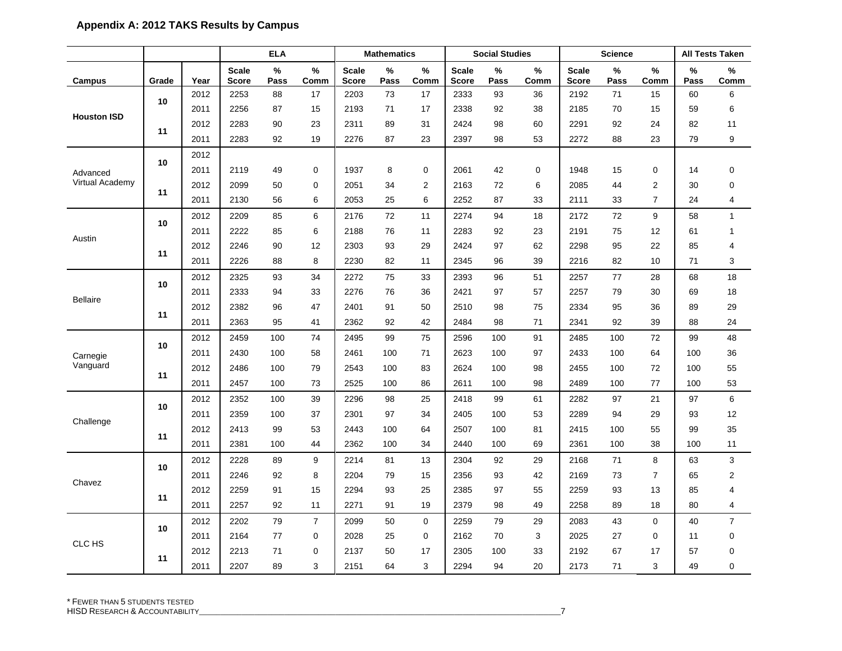|                       |       |      | <b>ELA</b><br><b>Mathematics</b> |           |                |                              | <b>Social Studies</b> |                |                       | <b>Science</b> |           |                              | <b>All Tests Taken</b> |                |           |                |
|-----------------------|-------|------|----------------------------------|-----------|----------------|------------------------------|-----------------------|----------------|-----------------------|----------------|-----------|------------------------------|------------------------|----------------|-----------|----------------|
| Campus                | Grade | Year | <b>Scale</b><br><b>Score</b>     | %<br>Pass | %<br>Comm      | <b>Scale</b><br><b>Score</b> | %<br>Pass             | %<br>Comm      | <b>Scale</b><br>Score | $\%$<br>Pass   | %<br>Comm | <b>Scale</b><br><b>Score</b> | $\%$<br>Pass           | %<br>Comm      | %<br>Pass | %<br>Comm      |
|                       |       | 2012 | 2253                             | 88        | 17             | 2203                         | 73                    | 17             | 2333                  | 93             | 36        | 2192                         | 71                     | 15             | 60        | 6              |
|                       | 10    | 2011 | 2256                             | 87        | 15             | 2193                         | 71                    | 17             | 2338                  | 92             | 38        | 2185                         | 70                     | 15             | 59        | 6              |
| <b>Houston ISD</b>    |       | 2012 | 2283                             | 90        | 23             | 2311                         | 89                    | 31             | 2424                  | 98             | 60        | 2291                         | 92                     | 24             | 82        | 11             |
|                       | 11    | 2011 | 2283                             | 92        | 19             | 2276                         | 87                    | 23             | 2397                  | 98             | 53        | 2272                         | 88                     | 23             | 79        | 9              |
|                       | 10    | 2012 |                                  |           |                |                              |                       |                |                       |                |           |                              |                        |                |           |                |
| Advanced              |       | 2011 | 2119                             | 49        | 0              | 1937                         | 8                     | 0              | 2061                  | 42             | 0         | 1948                         | 15                     | 0              | 14        | $\mathbf 0$    |
| Virtual Academy       | 11    | 2012 | 2099                             | 50        | $\Omega$       | 2051                         | 34                    | $\overline{2}$ | 2163                  | 72             | 6         | 2085                         | 44                     | $\overline{2}$ | 30        | $\mathbf 0$    |
|                       |       | 2011 | 2130                             | 56        | 6              | 2053                         | 25                    | 6              | 2252                  | 87             | 33        | 2111                         | 33                     | $\overline{7}$ | 24        | $\overline{4}$ |
|                       | 10    | 2012 | 2209                             | 85        | 6              | 2176                         | 72                    | 11             | 2274                  | 94             | 18        | 2172                         | 72                     | 9              | 58        | $\mathbf{1}$   |
| Austin                |       | 2011 | 2222                             | 85        | 6              | 2188                         | 76                    | 11             | 2283                  | 92             | 23        | 2191                         | 75                     | 12             | 61        | $\mathbf{1}$   |
|                       | 11    | 2012 | 2246                             | 90        | 12             | 2303                         | 93                    | 29             | 2424                  | 97             | 62        | 2298                         | 95                     | 22             | 85        | 4              |
|                       |       | 2011 | 2226                             | 88        | 8              | 2230                         | 82                    | 11             | 2345                  | 96             | 39        | 2216                         | 82                     | 10             | 71        | 3              |
|                       | 10    | 2012 | 2325                             | 93        | 34             | 2272                         | 75                    | 33             | 2393                  | 96             | 51        | 2257                         | 77                     | 28             | 68        | 18             |
|                       |       | 2011 | 2333                             | 94        | 33             | 2276                         | 76                    | 36             | 2421                  | 97             | 57        | 2257                         | 79                     | 30             | 69        | 18             |
| <b>Bellaire</b><br>11 |       | 2012 | 2382                             | 96        | 47             | 2401                         | 91                    | 50             | 2510                  | 98             | 75        | 2334                         | 95                     | 36             | 89        | 29             |
|                       |       | 2011 | 2363                             | 95        | 41             | 2362                         | 92                    | 42             | 2484                  | 98             | 71        | 2341                         | 92                     | 39             | 88        | 24             |
|                       | 10    | 2012 | 2459                             | 100       | 74             | 2495                         | 99                    | 75             | 2596                  | 100            | 91        | 2485                         | 100                    | 72             | 99        | 48             |
| Carnegie              |       | 2011 | 2430                             | 100       | 58             | 2461                         | 100                   | 71             | 2623                  | 100            | 97        | 2433                         | 100                    | 64             | 100       | 36             |
| Vanguard              | 11    | 2012 | 2486                             | 100       | 79             | 2543                         | 100                   | 83             | 2624                  | 100            | 98        | 2455                         | 100                    | 72             | 100       | 55             |
|                       |       | 2011 | 2457                             | 100       | 73             | 2525                         | 100                   | 86             | 2611                  | 100            | 98        | 2489                         | 100                    | 77             | 100       | 53             |
|                       | 10    | 2012 | 2352                             | 100       | 39             | 2296                         | 98                    | 25             | 2418                  | 99             | 61        | 2282                         | 97                     | 21             | 97        | 6              |
| Challenge             |       | 2011 | 2359                             | 100       | 37             | 2301                         | 97                    | 34             | 2405                  | 100            | 53        | 2289                         | 94                     | 29             | 93        | 12             |
|                       | 11    | 2012 | 2413                             | 99        | 53             | 2443                         | 100                   | 64             | 2507                  | 100            | 81        | 2415                         | 100                    | 55             | 99        | 35             |
|                       |       | 2011 | 2381                             | 100       | 44             | 2362                         | 100                   | 34             | 2440                  | 100            | 69        | 2361                         | 100                    | 38             | 100       | 11             |
|                       | 10    | 2012 | 2228                             | 89        | 9              | 2214                         | 81                    | 13             | 2304                  | 92             | 29        | 2168                         | 71                     | 8              | 63        | 3              |
| Chavez                |       | 2011 | 2246                             | 92        | 8              | 2204                         | 79                    | 15             | 2356                  | 93             | 42        | 2169                         | 73                     | 7              | 65        | $\overline{2}$ |
|                       | 11    | 2012 | 2259                             | 91        | 15             | 2294                         | 93                    | 25             | 2385                  | 97             | 55        | 2259                         | 93                     | 13             | 85        | 4              |
|                       |       | 2011 | 2257                             | 92        | 11             | 2271                         | 91                    | 19             | 2379                  | 98             | 49        | 2258                         | 89                     | 18             | 80        | $\overline{4}$ |
|                       |       | 2012 | 2202                             | 79        | $\overline{7}$ | 2099                         | 50                    | $\mathbf 0$    | 2259                  | 79             | 29        | 2083                         | 43                     | $\mathbf 0$    | 40        | $\overline{7}$ |
| CLC HS                | 10    | 2011 | 2164                             | 77        | 0              | 2028                         | 25                    | 0              | 2162                  | 70             | 3         | 2025                         | 27                     | 0              | 11        | 0              |
|                       | 11    | 2012 | 2213                             | 71        | 0              | 2137                         | 50                    | 17             | 2305                  | 100            | 33        | 2192                         | 67                     | 17             | 57        | $\mathbf 0$    |
|                       |       | 2011 | 2207                             | 89        | 3              | 2151                         | 64                    | 3              | 2294                  | 94             | 20        | 2173                         | 71                     | 3              | 49        | 0              |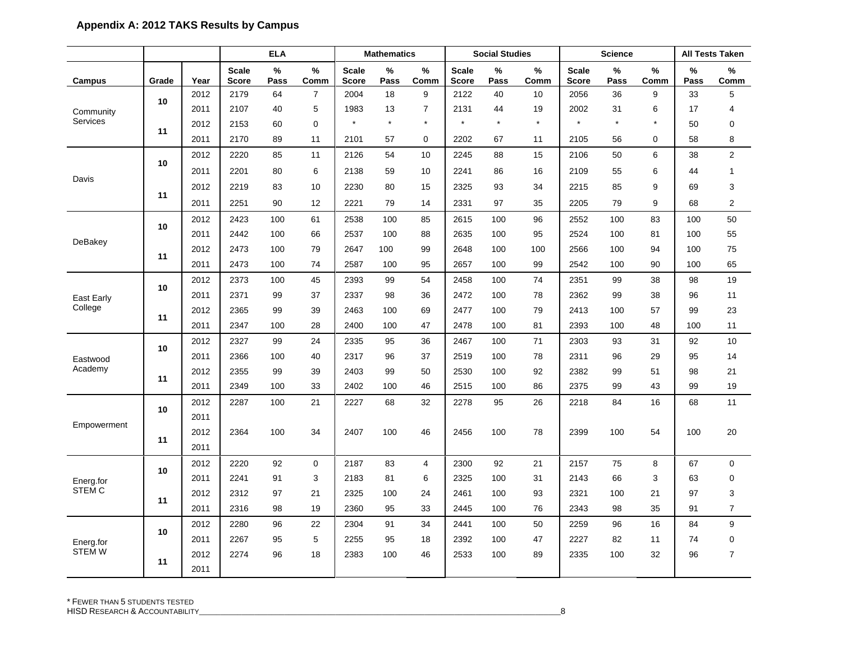|               |       |      |                              | <b>ELA</b>   |                | <b>Social Studies</b><br><b>Mathematics</b> |           |                |                              |           | <b>Science</b> |                              |           | <b>All Tests Taken</b> |           |                |
|---------------|-------|------|------------------------------|--------------|----------------|---------------------------------------------|-----------|----------------|------------------------------|-----------|----------------|------------------------------|-----------|------------------------|-----------|----------------|
| Campus        | Grade | Year | <b>Scale</b><br><b>Score</b> | $\%$<br>Pass | $\%$<br>Comm   | <b>Scale</b><br><b>Score</b>                | %<br>Pass | %<br>Comm      | <b>Scale</b><br><b>Score</b> | %<br>Pass | %<br>Comm      | <b>Scale</b><br><b>Score</b> | %<br>Pass | $\%$<br>Comm           | %<br>Pass | %<br>Comm      |
|               |       | 2012 | 2179                         | 64           | $\overline{7}$ | 2004                                        | 18        | 9              | 2122                         | 40        | 10             | 2056                         | 36        | 9                      | 33        | 5              |
| Community     | 10    | 2011 | 2107                         | 40           | 5              | 1983                                        | 13        | 7              | 2131                         | 44        | 19             | 2002                         | 31        | 6                      | 17        | 4              |
| Services      | 11    | 2012 | 2153                         | 60           | 0              | $\star$                                     | $\star$   | $\star$        | $\star$                      | $\star$   | $\star$        | $\star$                      | $\star$   | $\star$                | 50        | 0              |
|               |       | 2011 | 2170                         | 89           | 11             | 2101                                        | 57        | 0              | 2202                         | 67        | 11             | 2105                         | 56        | 0                      | 58        | 8              |
|               | 10    | 2012 | 2220                         | 85           | 11             | 2126                                        | 54        | 10             | 2245                         | 88        | 15             | 2106                         | 50        | 6                      | 38        | $\overline{2}$ |
|               |       | 2011 | 2201                         | 80           | 6              | 2138                                        | 59        | 10             | 2241                         | 86        | 16             | 2109                         | 55        | 6                      | 44        | $\mathbf{1}$   |
| Davis         |       | 2012 | 2219                         | 83           | 10             | 2230                                        | 80        | 15             | 2325                         | 93        | 34             | 2215                         | 85        | 9                      | 69        | 3              |
|               | 11    | 2011 | 2251                         | 90           | 12             | 2221                                        | 79        | 14             | 2331                         | 97        | 35             | 2205                         | 79        | 9                      | 68        | 2              |
|               | 10    | 2012 | 2423                         | 100          | 61             | 2538                                        | 100       | 85             | 2615                         | 100       | 96             | 2552                         | 100       | 83                     | 100       | 50             |
| DeBakey       |       | 2011 | 2442                         | 100          | 66             | 2537                                        | 100       | 88             | 2635                         | 100       | 95             | 2524                         | 100       | 81                     | 100       | 55             |
|               | 11    | 2012 | 2473                         | 100          | 79             | 2647                                        | 100       | 99             | 2648                         | 100       | 100            | 2566                         | 100       | 94                     | 100       | 75             |
|               |       | 2011 | 2473                         | 100          | 74             | 2587                                        | 100       | 95             | 2657                         | 100       | 99             | 2542                         | 100       | 90                     | 100       | 65             |
|               | 10    | 2012 | 2373                         | 100          | 45             | 2393                                        | 99        | 54             | 2458                         | 100       | 74             | 2351                         | 99        | 38                     | 98        | 19             |
| East Early    |       | 2011 | 2371                         | 99           | 37             | 2337                                        | 98        | 36             | 2472                         | 100       | 78             | 2362                         | 99        | 38                     | 96        | 11             |
| College       | 11    | 2012 | 2365                         | 99           | 39             | 2463                                        | 100       | 69             | 2477                         | 100       | 79             | 2413                         | 100       | 57                     | 99        | 23             |
|               |       | 2011 | 2347                         | 100          | 28             | 2400                                        | 100       | 47             | 2478                         | 100       | 81             | 2393                         | 100       | 48                     | 100       | 11             |
|               | 10    | 2012 | 2327                         | 99           | 24             | 2335                                        | 95        | 36             | 2467                         | 100       | 71             | 2303                         | 93        | 31                     | 92        | 10             |
| Eastwood      |       | 2011 | 2366                         | 100          | 40             | 2317                                        | 96        | 37             | 2519                         | 100       | 78             | 2311                         | 96        | 29                     | 95        | 14             |
| Academy       | 11    | 2012 | 2355                         | 99           | 39             | 2403                                        | 99        | 50             | 2530                         | 100       | 92             | 2382                         | 99        | 51                     | 98        | 21             |
|               |       | 2011 | 2349                         | 100          | 33             | 2402                                        | 100       | 46             | 2515                         | 100       | 86             | 2375                         | 99        | 43                     | 99        | 19             |
|               | 10    | 2012 | 2287                         | 100          | 21             | 2227                                        | 68        | 32             | 2278                         | 95        | 26             | 2218                         | 84        | 16                     | 68        | 11             |
| Empowerment   |       | 2011 |                              |              |                |                                             |           |                |                              |           |                |                              |           |                        |           |                |
|               | 11    | 2012 | 2364                         | 100          | 34             | 2407                                        | 100       | 46             | 2456                         | 100       | 78             | 2399                         | 100       | 54                     | 100       | 20             |
|               |       | 2011 |                              |              |                |                                             |           |                |                              |           |                |                              |           |                        |           |                |
|               | 10    | 2012 | 2220                         | 92           | $\mathbf 0$    | 2187                                        | 83        | $\overline{4}$ | 2300                         | 92        | 21             | 2157                         | 75        | 8                      | 67        | $\mathbf 0$    |
| Energ.for     |       | 2011 | 2241                         | 91           | 3              | 2183                                        | 81        | 6              | 2325                         | 100       | 31             | 2143                         | 66        | 3                      | 63        | $\mathbf 0$    |
| STEM C        | 11    | 2012 | 2312                         | 97           | 21             | 2325                                        | 100       | 24             | 2461                         | 100       | 93             | 2321                         | 100       | 21                     | 97        | 3              |
|               |       | 2011 | 2316                         | 98           | 19             | 2360                                        | 95        | 33             | 2445                         | 100       | 76             | 2343                         | 98        | 35                     | 91        | $\overline{7}$ |
|               | 10    | 2012 | 2280                         | 96           | 22             | 2304                                        | 91        | 34             | 2441                         | 100       | 50             | 2259                         | 96        | 16                     | 84        | 9              |
| Energ.for     |       | 2011 | 2267                         | 95           | 5              | 2255                                        | 95        | 18             | 2392                         | 100       | 47             | 2227                         | 82        | 11                     | 74        | $\mathbf 0$    |
| <b>STEM W</b> | 11    | 2012 | 2274                         | 96           | 18             | 2383                                        | 100       | 46             | 2533                         | 100       | 89             | 2335                         | 100       | 32                     | 96        | $\overline{7}$ |
|               |       | 2011 |                              |              |                |                                             |           |                |                              |           |                |                              |           |                        |           |                |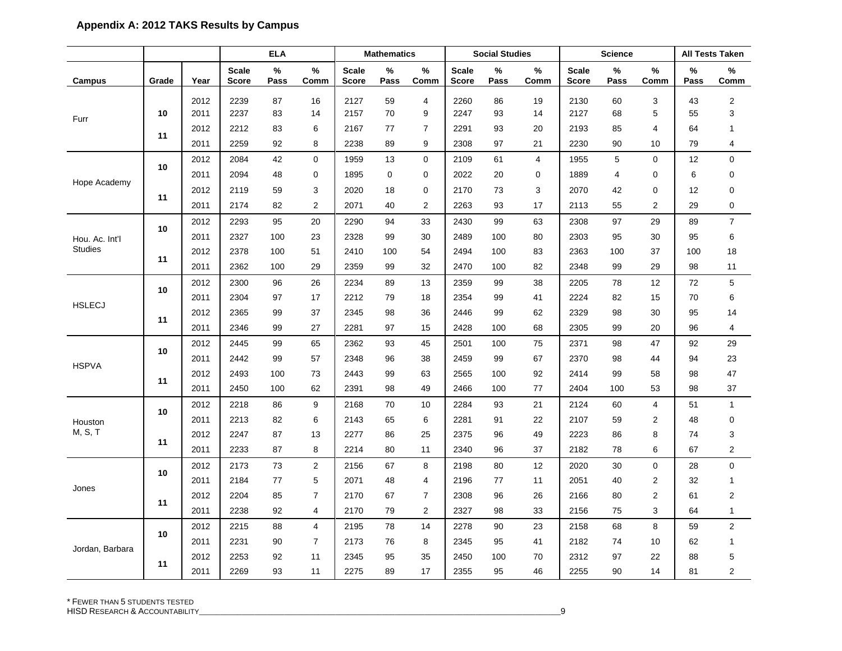|                 |       |      |                              | <b>ELA</b> |                |                              | <b>Mathematics</b> |                |                       | <b>Social Studies</b> |              |                              | <b>Science</b> |                         |           | <b>All Tests Taken</b>  |
|-----------------|-------|------|------------------------------|------------|----------------|------------------------------|--------------------|----------------|-----------------------|-----------------------|--------------|------------------------------|----------------|-------------------------|-----------|-------------------------|
| Campus          | Grade | Year | <b>Scale</b><br><b>Score</b> | %<br>Pass  | %<br>Comm      | <b>Scale</b><br><b>Score</b> | %<br>Pass          | %<br>Comm      | <b>Scale</b><br>Score | %<br>Pass             | $\%$<br>Comm | <b>Scale</b><br><b>Score</b> | ℅<br>Pass      | $\%$<br>Comm            | %<br>Pass | %<br>Comm               |
|                 |       | 2012 | 2239                         | 87         | 16             | 2127                         | 59                 | $\overline{4}$ | 2260                  | 86                    | 19           | 2130                         | 60             | 3                       | 43        | $\overline{\mathbf{c}}$ |
| Furr            | 10    | 2011 | 2237                         | 83         | 14             | 2157                         | 70                 | 9              | 2247                  | 93                    | 14           | 2127                         | 68             | 5                       | 55        | 3                       |
|                 | 11    | 2012 | 2212                         | 83         | 6              | 2167                         | 77                 | $\overline{7}$ | 2291                  | 93                    | 20           | 2193                         | 85             | 4                       | 64        | $\mathbf{1}$            |
|                 |       | 2011 | 2259                         | 92         | 8              | 2238                         | 89                 | 9              | 2308                  | 97                    | 21           | 2230                         | 90             | 10                      | 79        | $\overline{4}$          |
|                 | 10    | 2012 | 2084                         | 42         | $\mathbf 0$    | 1959                         | 13                 | $\mathbf 0$    | 2109                  | 61                    | 4            | 1955                         | 5              | 0                       | 12        | $\mathbf 0$             |
|                 |       | 2011 | 2094                         | 48         | 0              | 1895                         | 0                  | 0              | 2022                  | 20                    | 0            | 1889                         | 4              | 0                       | 6         | $\mathbf 0$             |
| Hope Academy    |       | 2012 | 2119                         | 59         | 3              | 2020                         | 18                 | 0              | 2170                  | 73                    | 3            | 2070                         | 42             | 0                       | 12        | $\mathbf 0$             |
|                 | 11    | 2011 | 2174                         | 82         | 2              | 2071                         | 40                 | 2              | 2263                  | 93                    | 17           | 2113                         | 55             | $\overline{\mathbf{c}}$ | 29        | $\pmb{0}$               |
|                 |       | 2012 | 2293                         | 95         | 20             | 2290                         | 94                 | 33             | 2430                  | 99                    | 63           | 2308                         | 97             | 29                      | 89        | $\overline{7}$          |
| Hou. Ac. Int'l  | 10    | 2011 | 2327                         | 100        | 23             | 2328                         | 99                 | 30             | 2489                  | 100                   | 80           | 2303                         | 95             | 30                      | 95        | 6                       |
| <b>Studies</b>  |       | 2012 | 2378                         | 100        | 51             | 2410                         | 100                | 54             | 2494                  | 100                   | 83           | 2363                         | 100            | 37                      | 100       | 18                      |
|                 | 11    | 2011 | 2362                         | 100        | 29             | 2359                         | 99                 | 32             | 2470                  | 100                   | 82           | 2348                         | 99             | 29                      | 98        | 11                      |
|                 |       | 2012 | 2300                         | 96         | 26             | 2234                         | 89                 | 13             | 2359                  | 99                    | 38           | 2205                         | 78             | 12                      | 72        | 5                       |
| <b>HSLECJ</b>   | 10    | 2011 | 2304                         | 97         | 17             | 2212                         | 79                 | 18             | 2354                  | 99                    | 41           | 2224                         | 82             | 15                      | 70        | 6                       |
|                 | 11    | 2012 | 2365                         | 99         | 37             | 2345                         | 98                 | 36             | 2446                  | 99                    | 62           | 2329                         | 98             | 30                      | 95        | 14                      |
|                 |       | 2011 | 2346                         | 99         | 27             | 2281                         | 97                 | 15             | 2428                  | 100                   | 68           | 2305                         | 99             | 20                      | 96        | 4                       |
|                 |       | 2012 | 2445                         | 99         | 65             | 2362                         | 93                 | 45             | 2501                  | 100                   | 75           | 2371                         | 98             | 47                      | 92        | 29                      |
|                 | 10    | 2011 | 2442                         | 99         | 57             | 2348                         | 96                 | 38             | 2459                  | 99                    | 67           | 2370                         | 98             | 44                      | 94        | 23                      |
| <b>HSPVA</b>    | 11    | 2012 | 2493                         | 100        | 73             | 2443                         | 99                 | 63             | 2565                  | 100                   | 92           | 2414                         | 99             | 58                      | 98        | 47                      |
|                 |       | 2011 | 2450                         | 100        | 62             | 2391                         | 98                 | 49             | 2466                  | 100                   | 77           | 2404                         | 100            | 53                      | 98        | 37                      |
|                 |       | 2012 | 2218                         | 86         | 9              | 2168                         | 70                 | 10             | 2284                  | 93                    | 21           | 2124                         | 60             | 4                       | 51        | $\mathbf{1}$            |
| Houston         | 10    | 2011 | 2213                         | 82         | 6              | 2143                         | 65                 | 6              | 2281                  | 91                    | 22           | 2107                         | 59             | $\overline{2}$          | 48        | $\mathbf 0$             |
| M, S, T         | 11    | 2012 | 2247                         | 87         | 13             | 2277                         | 86                 | 25             | 2375                  | 96                    | 49           | 2223                         | 86             | 8                       | 74        | 3                       |
|                 |       | 2011 | 2233                         | 87         | 8              | 2214                         | 80                 | 11             | 2340                  | 96                    | 37           | 2182                         | 78             | 6                       | 67        | $\mathbf{2}$            |
|                 | 10    | 2012 | 2173                         | 73         | 2              | 2156                         | 67                 | 8              | 2198                  | 80                    | 12           | 2020                         | 30             | 0                       | 28        | $\mathbf 0$             |
| Jones           |       | 2011 | 2184                         | 77         | 5              | 2071                         | 48                 | 4              | 2196                  | 77                    | 11           | 2051                         | 40             | 2                       | 32        | $\mathbf{1}$            |
|                 | 11    | 2012 | 2204                         | 85         | $\overline{7}$ | 2170                         | 67                 | $\overline{7}$ | 2308                  | 96                    | 26           | 2166                         | 80             | 2                       | 61        | $\overline{2}$          |
|                 |       | 2011 | 2238                         | 92         | $\overline{4}$ | 2170                         | 79                 | $\overline{2}$ | 2327                  | 98                    | 33           | 2156                         | 75             | 3                       | 64        | $\mathbf{1}$            |
|                 | 10    | 2012 | 2215                         | 88         | $\overline{4}$ | 2195                         | 78                 | 14             | 2278                  | 90                    | 23           | 2158                         | 68             | 8                       | 59        | $\overline{2}$          |
| Jordan, Barbara |       | 2011 | 2231                         | 90         | $\overline{7}$ | 2173                         | 76                 | 8              | 2345                  | 95                    | 41           | 2182                         | 74             | 10                      | 62        | 1                       |
|                 | 11    | 2012 | 2253                         | 92         | 11             | 2345                         | 95                 | 35             | 2450                  | 100                   | 70           | 2312                         | 97             | 22                      | 88        | 5                       |
|                 |       | 2011 | 2269                         | 93         | 11             | 2275                         | 89                 | 17             | 2355                  | 95                    | 46           | 2255                         | 90             | 14                      | 81        | $\mathbf{2}$            |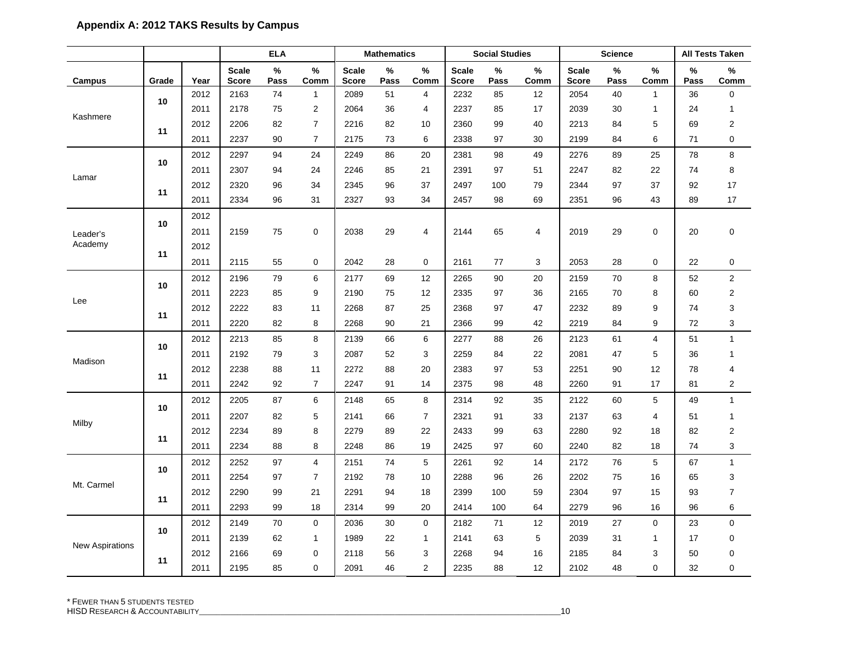|                        |       |      |                              | ELA       |                | <b>Mathematics</b>           |           |                |                              | <b>Social Studies</b> |                |                              | <b>Science</b> |                |                       | <b>All Tests Taken</b> |
|------------------------|-------|------|------------------------------|-----------|----------------|------------------------------|-----------|----------------|------------------------------|-----------------------|----------------|------------------------------|----------------|----------------|-----------------------|------------------------|
| Campus                 | Grade | Year | <b>Scale</b><br><b>Score</b> | %<br>Pass | $\%$<br>Comm   | <b>Scale</b><br><b>Score</b> | %<br>Pass | %<br>Comm      | <b>Scale</b><br><b>Score</b> | %<br>Pass             | $\%$<br>Comm   | <b>Scale</b><br><b>Score</b> | %<br>Pass      | %<br>Comm      | $\frac{0}{0}$<br>Pass | %<br>$_{\rm \bf Comm}$ |
|                        |       | 2012 | 2163                         | 74        | $\mathbf{1}$   | 2089                         | 51        | 4              | 2232                         | 85                    | 12             | 2054                         | 40             | 1              | 36                    | 0                      |
|                        | 10    | 2011 | 2178                         | 75        | $\overline{2}$ | 2064                         | 36        | 4              | 2237                         | 85                    | 17             | 2039                         | 30             | 1              | 24                    | $\mathbf{1}$           |
| Kashmere               |       | 2012 | 2206                         | 82        | $\overline{7}$ | 2216                         | 82        | 10             | 2360                         | 99                    | 40             | 2213                         | 84             | 5              | 69                    | 2                      |
|                        | 11    | 2011 | 2237                         | 90        | $\overline{7}$ | 2175                         | 73        | 6              | 2338                         | 97                    | 30             | 2199                         | 84             | 6              | 71                    | 0                      |
|                        |       | 2012 | 2297                         | 94        | 24             | 2249                         | 86        | 20             | 2381                         | 98                    | 49             | 2276                         | 89             | 25             | 78                    | 8                      |
| Lamar                  | 10    | 2011 | 2307                         | 94        | 24             | 2246                         | 85        | 21             | 2391                         | 97                    | 51             | 2247                         | 82             | 22             | 74                    | 8                      |
|                        | 11    | 2012 | 2320                         | 96        | 34             | 2345                         | 96        | 37             | 2497                         | 100                   | 79             | 2344                         | 97             | 37             | 92                    | 17                     |
|                        |       | 2011 | 2334                         | 96        | 31             | 2327                         | 93        | 34             | 2457                         | 98                    | 69             | 2351                         | 96             | 43             | 89                    | 17                     |
|                        | 10    | 2012 |                              |           |                |                              |           |                |                              |                       |                |                              |                |                |                       |                        |
| Leader's               |       | 2011 | 2159                         | 75        | 0              | 2038                         | 29        | 4              | 2144                         | 65                    | $\overline{4}$ | 2019                         | 29             | $\pmb{0}$      | 20                    | 0                      |
| Academy                | 11    | 2012 |                              |           |                |                              |           |                |                              |                       |                |                              |                |                |                       |                        |
|                        |       | 2011 | 2115                         | 55        | 0              | 2042                         | 28        | 0              | 2161                         | 77                    | 3              | 2053                         | 28             | 0              | 22                    | 0                      |
|                        | 10    | 2012 | 2196                         | 79        | 6              | 2177                         | 69        | 12             | 2265                         | 90                    | 20             | 2159                         | 70             | 8              | 52                    | $\overline{2}$         |
| Lee<br>11              |       | 2011 | 2223                         | 85        | 9              | 2190                         | 75        | 12             | 2335                         | 97                    | 36             | 2165                         | 70             | 8              | 60                    | $\overline{2}$         |
|                        |       | 2012 | 2222                         | 83        | 11             | 2268                         | 87        | 25             | 2368                         | 97                    | 47             | 2232                         | 89             | 9              | 74                    | 3                      |
|                        |       | 2011 | 2220                         | 82        | 8              | 2268                         | 90        | 21             | 2366                         | 99                    | 42             | 2219                         | 84             | 9              | 72                    | 3                      |
|                        | 10    | 2012 | 2213                         | 85        | 8              | 2139                         | 66        | 6              | 2277                         | 88                    | 26             | 2123                         | 61             | $\overline{4}$ | 51                    | $\mathbf{1}$           |
| Madison                |       | 2011 | 2192                         | 79        | 3              | 2087                         | 52        | 3              | 2259                         | 84                    | 22             | 2081                         | 47             | 5              | 36                    | $\mathbf{1}$           |
|                        | 11    | 2012 | 2238                         | 88        | 11             | 2272                         | 88        | 20             | 2383                         | 97                    | 53             | 2251                         | 90             | 12             | 78                    | 4                      |
|                        |       | 2011 | 2242                         | 92        | $\overline{7}$ | 2247                         | 91        | 14             | 2375                         | 98                    | 48             | 2260                         | 91             | 17             | 81                    | 2                      |
|                        | 10    | 2012 | 2205                         | 87        | 6              | 2148                         | 65        | 8              | 2314                         | 92                    | 35             | 2122                         | 60             | 5              | 49                    | $\mathbf{1}$           |
| Milby                  |       | 2011 | 2207                         | 82        | 5              | 2141                         | 66        | $\overline{7}$ | 2321                         | 91                    | 33             | 2137                         | 63             | 4              | 51                    | $\mathbf{1}$           |
|                        | 11    | 2012 | 2234                         | 89        | 8              | 2279                         | 89        | 22             | 2433                         | 99                    | 63             | 2280                         | 92             | 18             | 82                    | $\overline{2}$         |
|                        |       | 2011 | 2234                         | 88        | 8              | 2248                         | 86        | 19             | 2425                         | 97                    | 60             | 2240                         | 82             | 18             | 74                    | 3                      |
|                        | 10    | 2012 | 2252                         | 97        | $\overline{4}$ | 2151                         | 74        | 5              | 2261                         | 92                    | 14             | 2172                         | 76             | 5              | 67                    | $\mathbf{1}$           |
| Mt. Carmel             |       | 2011 | 2254                         | 97        | $\overline{7}$ | 2192                         | 78        | 10             | 2288                         | 96                    | 26             | 2202                         | 75             | 16             | 65                    | 3                      |
|                        | 11    | 2012 | 2290                         | 99        | 21             | 2291                         | 94        | 18             | 2399                         | 100                   | 59             | 2304                         | 97             | 15             | 93                    | $\overline{7}$         |
|                        |       | 2011 | 2293                         | 99        | 18             | 2314                         | 99        | 20             | 2414                         | 100                   | 64             | 2279                         | 96             | 16             | 96                    | 6                      |
|                        | 10    | 2012 | 2149                         | 70        | $\mathbf 0$    | 2036                         | 30        | $\mathbf 0$    | 2182                         | 71                    | 12             | 2019                         | 27             | $\mathbf 0$    | 23                    | 0                      |
| <b>New Aspirations</b> |       | 2011 | 2139                         | 62        | $\mathbf{1}$   | 1989                         | 22        | $\mathbf{1}$   | 2141                         | 63                    | 5              | 2039                         | 31             | $\mathbf{1}$   | 17                    | 0                      |
|                        | 11    | 2012 | 2166                         | 69        | 0              | 2118                         | 56        | 3              | 2268                         | 94                    | 16             | 2185                         | 84             | 3              | 50                    | 0                      |
|                        |       | 2011 | 2195                         | 85        | 0              | 2091                         | 46        | $\overline{2}$ | 2235                         | 88                    | 12             | 2102                         | 48             | $\mathbf 0$    | 32                    | 0                      |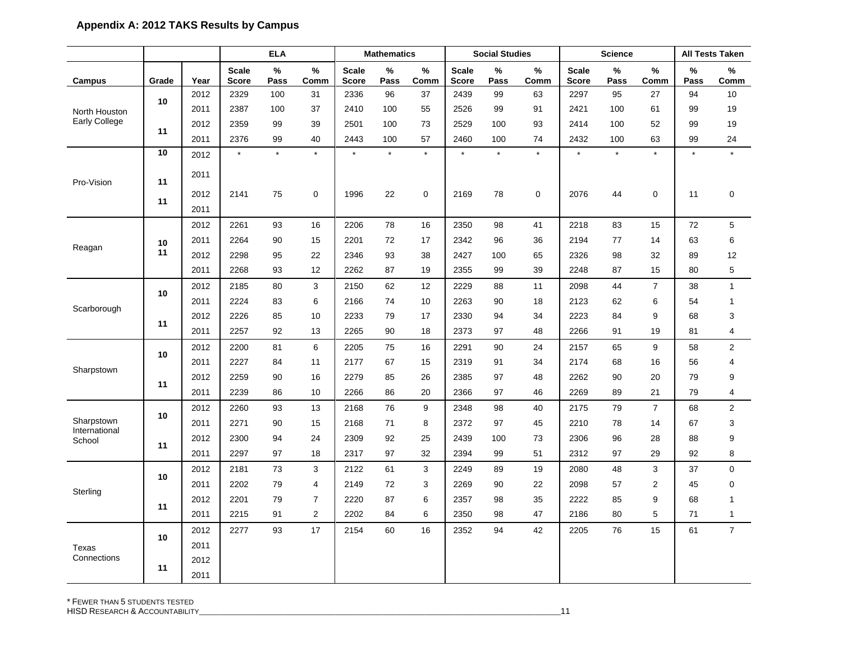|                             |       |              |                              | <b>ELA</b>   |                |                              | <b>Mathematics</b> |              |                              | <b>Social Studies</b> |              |                              | <b>Science</b> |                |           | <b>All Tests Taken</b> |
|-----------------------------|-------|--------------|------------------------------|--------------|----------------|------------------------------|--------------------|--------------|------------------------------|-----------------------|--------------|------------------------------|----------------|----------------|-----------|------------------------|
| Campus                      | Grade | Year         | <b>Scale</b><br><b>Score</b> | $\%$<br>Pass | $\%$<br>Comm   | <b>Scale</b><br><b>Score</b> | $\%$<br>Pass       | $\%$<br>Comm | <b>Scale</b><br><b>Score</b> | $\%$<br>Pass          | $\%$<br>Comm | <b>Scale</b><br><b>Score</b> | $\%$<br>Pass   | $\%$<br>Comm   | %<br>Pass | %<br>Comm              |
|                             |       | 2012         | 2329                         | 100          | 31             | 2336                         | 96                 | 37           | 2439                         | 99                    | 63           | 2297                         | 95             | 27             | 94        | 10                     |
| North Houston               | 10    | 2011         | 2387                         | 100          | 37             | 2410                         | 100                | 55           | 2526                         | 99                    | 91           | 2421                         | 100            | 61             | 99        | 19                     |
| Early College               | 11    | 2012         | 2359                         | 99           | 39             | 2501                         | 100                | 73           | 2529                         | 100                   | 93           | 2414                         | 100            | 52             | 99        | 19                     |
|                             |       | 2011         | 2376                         | 99           | 40             | 2443                         | 100                | 57           | 2460                         | 100                   | 74           | 2432                         | 100            | 63             | 99        | 24                     |
|                             | 10    | 2012         | $\star$                      | $\star$      | $\star$        | $\star$                      | $\star$            | $\star$      | $\star$                      | $\star$               | $\star$      | $\star$                      | $\star$        | $\star$        | $\star$   | $\star$                |
| Pro-Vision                  | 11    | 2011         |                              |              |                |                              |                    |              |                              |                       |              |                              |                |                |           |                        |
|                             | 11    | 2012         | 2141                         | 75           | $\mathbf 0$    | 1996                         | 22                 | $\mathbf 0$  | 2169                         | 78                    | 0            | 2076                         | 44             | $\mathbf 0$    | 11        | $\mathbf 0$            |
|                             |       | 2011         |                              |              |                |                              |                    |              |                              |                       |              |                              |                |                |           |                        |
|                             |       | 2012         | 2261                         | 93           | 16             | 2206                         | 78                 | 16           | 2350                         | 98                    | 41           | 2218                         | 83             | 15             | 72        | 5                      |
| Reagan                      | 10    | 2011         | 2264                         | 90           | 15             | 2201                         | 72                 | 17           | 2342                         | 96                    | 36           | 2194                         | 77             | 14             | 63        | 6                      |
|                             | 11    | 2012         | 2298                         | 95           | 22             | 2346                         | 93                 | 38           | 2427                         | 100                   | 65           | 2326                         | 98             | 32             | 89        | 12                     |
|                             |       | 2011         | 2268                         | 93           | 12             | 2262                         | 87                 | 19           | 2355                         | 99                    | 39           | 2248                         | 87             | 15             | 80        | 5                      |
|                             | 10    | 2012         | 2185                         | 80           | 3              | 2150                         | 62                 | 12           | 2229                         | 88                    | 11           | 2098                         | 44             | $\overline{7}$ | 38        | $\mathbf{1}$           |
| Scarborough                 |       | 2011         | 2224                         | 83           | 6              | 2166                         | 74                 | 10           | 2263                         | 90                    | 18           | 2123                         | 62             | 6              | 54        | $\mathbf{1}$           |
|                             | 11    | 2012         | 2226                         | 85           | 10             | 2233                         | 79                 | 17           | 2330                         | 94                    | 34           | 2223                         | 84             | 9              | 68        | 3                      |
|                             |       | 2011         | 2257                         | 92           | 13             | 2265                         | 90                 | 18           | 2373                         | 97                    | 48           | 2266                         | 91             | 19             | 81        | $\overline{4}$         |
|                             | 10    | 2012         | 2200                         | 81           | 6              | 2205                         | 75                 | 16           | 2291                         | 90                    | 24           | 2157                         | 65             | 9              | 58        | $\boldsymbol{2}$       |
| Sharpstown                  |       | 2011         | 2227                         | 84           | 11             | 2177                         | 67                 | 15           | 2319                         | 91                    | 34           | 2174                         | 68             | 16             | 56        | 4                      |
|                             | 11    | 2012         | 2259                         | 90           | 16             | 2279                         | 85                 | 26           | 2385                         | 97                    | 48           | 2262                         | 90             | 20             | 79        | 9                      |
|                             |       | 2011         | 2239                         | 86           | 10             | 2266                         | 86                 | 20           | 2366                         | 97                    | 46           | 2269                         | 89             | 21             | 79        | 4                      |
|                             | 10    | 2012         | 2260                         | 93           | 13             | 2168                         | 76                 | 9            | 2348                         | 98                    | 40           | 2175                         | 79             | $\overline{7}$ | 68        | 2                      |
| Sharpstown<br>International |       | 2011         | 2271                         | 90           | 15             | 2168                         | 71                 | 8            | 2372                         | 97                    | 45           | 2210                         | 78             | 14             | 67        | 3                      |
| School                      | 11    | 2012         | 2300                         | 94           | 24             | 2309                         | 92                 | 25           | 2439                         | 100                   | 73           | 2306                         | 96             | 28             | 88        | 9                      |
|                             |       | 2011         | 2297                         | 97           | 18             | 2317                         | 97                 | 32           | 2394                         | 99                    | 51           | 2312                         | 97             | 29             | 92        | 8                      |
|                             | 10    | 2012         | 2181                         | 73           | 3              | 2122                         | 61                 | 3            | 2249                         | 89                    | 19           | 2080                         | 48             | 3              | 37        | $\mathbf 0$            |
| Sterling                    |       | 2011         | 2202                         | 79           | 4              | 2149                         | 72                 | 3            | 2269                         | 90                    | 22           | 2098                         | 57             | 2              | 45        | 0                      |
|                             | 11    | 2012         | 2201                         | 79           | $\overline{7}$ | 2220                         | 87                 | 6            | 2357                         | 98                    | 35           | 2222                         | 85             | 9              | 68        | $\overline{1}$         |
|                             |       | 2011         | 2215                         | 91           | 2              | 2202                         | 84                 | 6            | 2350                         | 98                    | 47           | 2186                         | 80             | 5              | 71        | $\mathbf{1}$           |
|                             | 10    | 2012         | 2277                         | 93           | 17             | 2154                         | 60                 | 16           | 2352                         | 94                    | 42           | 2205                         | 76             | 15             | 61        | $\overline{7}$         |
| Texas                       |       | 2011         |                              |              |                |                              |                    |              |                              |                       |              |                              |                |                |           |                        |
| Connections                 | 11    | 2012<br>2011 |                              |              |                |                              |                    |              |                              |                       |              |                              |                |                |           |                        |

\* FEWER THAN 5 STUDENTS TESTED HISD RESEARCH & ACCOUNTABILITY